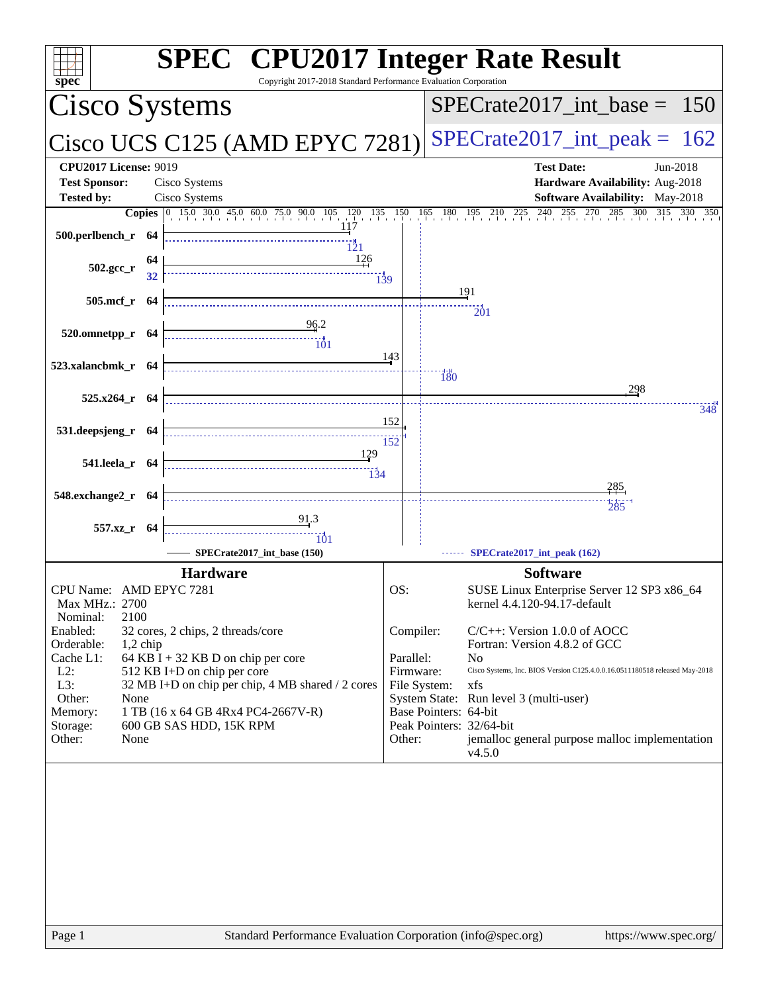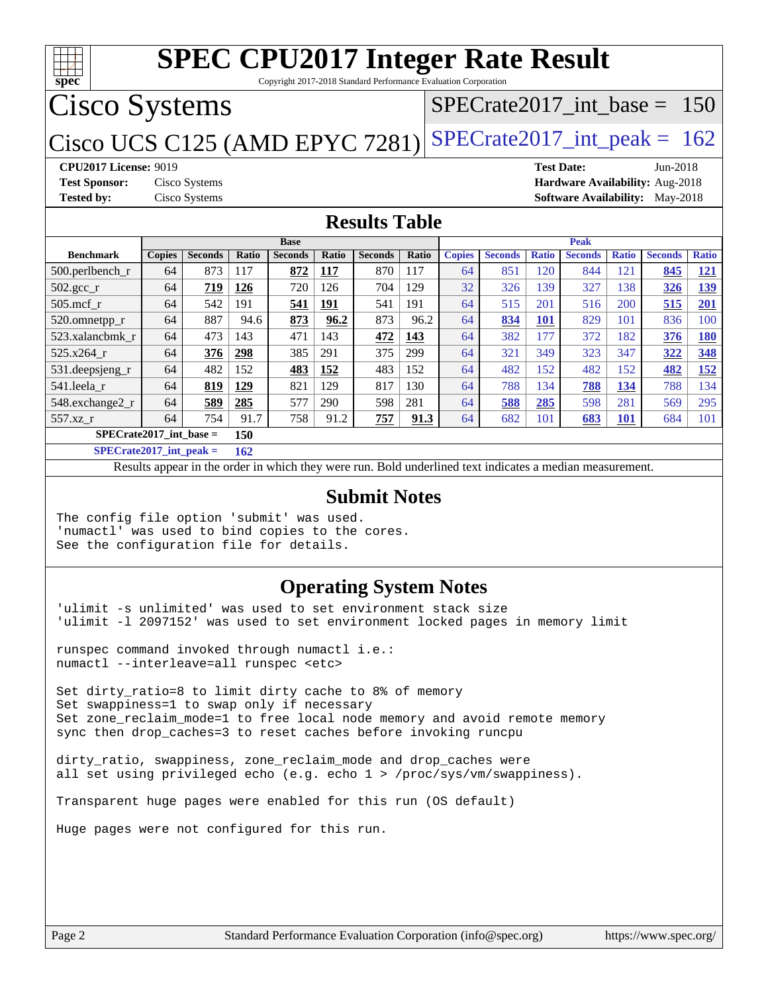

**[SPECrate2017\\_int\\_base =](http://www.spec.org/auto/cpu2017/Docs/result-fields.html#SPECrate2017intbase) 150**

**[SPECrate2017\\_int\\_peak =](http://www.spec.org/auto/cpu2017/Docs/result-fields.html#SPECrate2017intpeak) 162**

Results appear in the [order in which they were run.](http://www.spec.org/auto/cpu2017/Docs/result-fields.html#RunOrder) Bold underlined text [indicates a median measurement.](http://www.spec.org/auto/cpu2017/Docs/result-fields.html#Median)

#### **[Submit Notes](http://www.spec.org/auto/cpu2017/Docs/result-fields.html#SubmitNotes)**

The config file option 'submit' was used. 'numactl' was used to bind copies to the cores. See the configuration file for details.

#### **[Operating System Notes](http://www.spec.org/auto/cpu2017/Docs/result-fields.html#OperatingSystemNotes)**

'ulimit -s unlimited' was used to set environment stack size 'ulimit -l 2097152' was used to set environment locked pages in memory limit

runspec command invoked through numactl i.e.: numactl --interleave=all runspec <etc>

Set dirty ratio=8 to limit dirty cache to 8% of memory Set swappiness=1 to swap only if necessary Set zone\_reclaim\_mode=1 to free local node memory and avoid remote memory sync then drop\_caches=3 to reset caches before invoking runcpu

dirty\_ratio, swappiness, zone\_reclaim\_mode and drop\_caches were all set using privileged echo (e.g. echo 1 > /proc/sys/vm/swappiness).

Transparent huge pages were enabled for this run (OS default)

Huge pages were not configured for this run.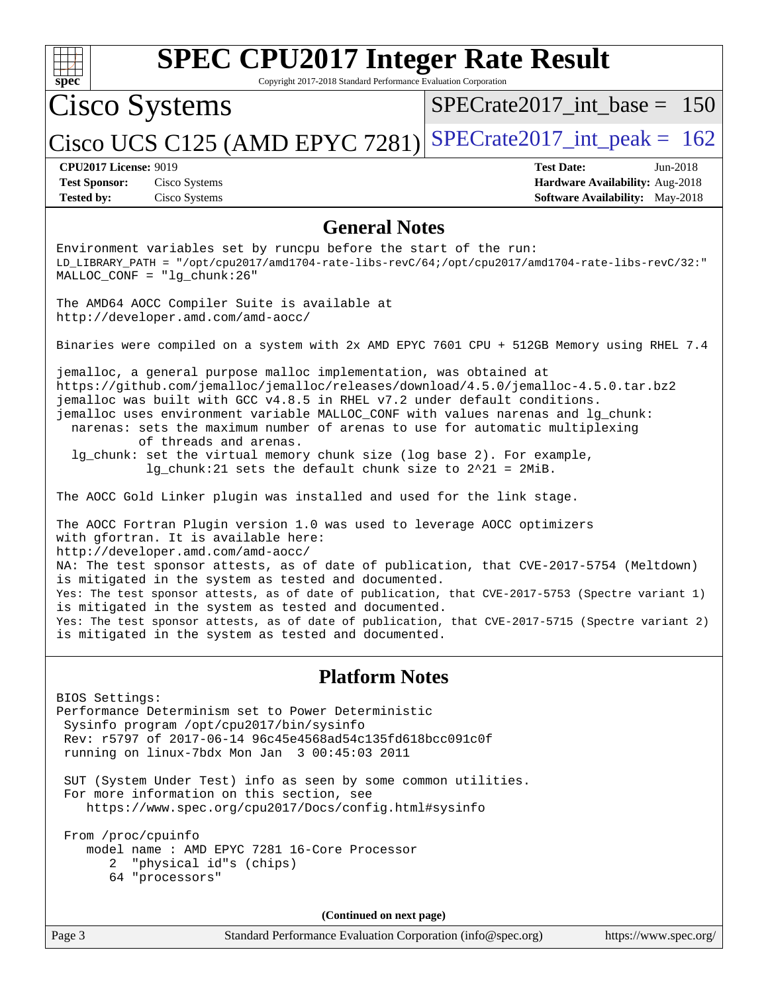

# **[SPEC CPU2017 Integer Rate Result](http://www.spec.org/auto/cpu2017/Docs/result-fields.html#SPECCPU2017IntegerRateResult)**

Copyright 2017-2018 Standard Performance Evaluation Corporation

[SPECrate2017\\_int\\_base =](http://www.spec.org/auto/cpu2017/Docs/result-fields.html#SPECrate2017intbase) 150

**[Test Sponsor:](http://www.spec.org/auto/cpu2017/Docs/result-fields.html#TestSponsor)** Cisco Systems **[Hardware Availability:](http://www.spec.org/auto/cpu2017/Docs/result-fields.html#HardwareAvailability)** Aug-2018 **[Tested by:](http://www.spec.org/auto/cpu2017/Docs/result-fields.html#Testedby)** Cisco Systems **[Software Availability:](http://www.spec.org/auto/cpu2017/Docs/result-fields.html#SoftwareAvailability)** May-2018

**[CPU2017 License:](http://www.spec.org/auto/cpu2017/Docs/result-fields.html#CPU2017License)** 9019 **[Test Date:](http://www.spec.org/auto/cpu2017/Docs/result-fields.html#TestDate)** Jun-2018

### **[General Notes](http://www.spec.org/auto/cpu2017/Docs/result-fields.html#GeneralNotes)**

Environment variables set by runcpu before the start of the run: LD\_LIBRARY\_PATH = "/opt/cpu2017/amd1704-rate-libs-revC/64;/opt/cpu2017/amd1704-rate-libs-revC/32:" MALLOC\_CONF = "lg\_chunk:26"

The AMD64 AOCC Compiler Suite is available at <http://developer.amd.com/amd-aocc/>

Binaries were compiled on a system with 2x AMD EPYC 7601 CPU + 512GB Memory using RHEL 7.4

jemalloc, a general purpose malloc implementation, was obtained at <https://github.com/jemalloc/jemalloc/releases/download/4.5.0/jemalloc-4.5.0.tar.bz2> jemalloc was built with GCC v4.8.5 in RHEL v7.2 under default conditions. jemalloc uses environment variable MALLOC\_CONF with values narenas and lg\_chunk: narenas: sets the maximum number of arenas to use for automatic multiplexing of threads and arenas.

 lg\_chunk: set the virtual memory chunk size (log base 2). For example, lg\_chunk:21 sets the default chunk size to 2^21 = 2MiB.

The AOCC Gold Linker plugin was installed and used for the link stage.

The AOCC Fortran Plugin version 1.0 was used to leverage AOCC optimizers with gfortran. It is available here: <http://developer.amd.com/amd-aocc/> NA: The test sponsor attests, as of date of publication, that CVE-2017-5754 (Meltdown) is mitigated in the system as tested and documented. Yes: The test sponsor attests, as of date of publication, that CVE-2017-5753 (Spectre variant 1) is mitigated in the system as tested and documented. Yes: The test sponsor attests, as of date of publication, that CVE-2017-5715 (Spectre variant 2) is mitigated in the system as tested and documented.

### **[Platform Notes](http://www.spec.org/auto/cpu2017/Docs/result-fields.html#PlatformNotes)**

BIOS Settings: Performance Determinism set to Power Deterministic Sysinfo program /opt/cpu2017/bin/sysinfo Rev: r5797 of 2017-06-14 96c45e4568ad54c135fd618bcc091c0f running on linux-7bdx Mon Jan 3 00:45:03 2011

 SUT (System Under Test) info as seen by some common utilities. For more information on this section, see <https://www.spec.org/cpu2017/Docs/config.html#sysinfo>

 From /proc/cpuinfo model name : AMD EPYC 7281 16-Core Processor 2 "physical id"s (chips) 64 "processors"

**(Continued on next page)**

Page 3 Standard Performance Evaluation Corporation [\(info@spec.org\)](mailto:info@spec.org) <https://www.spec.org/>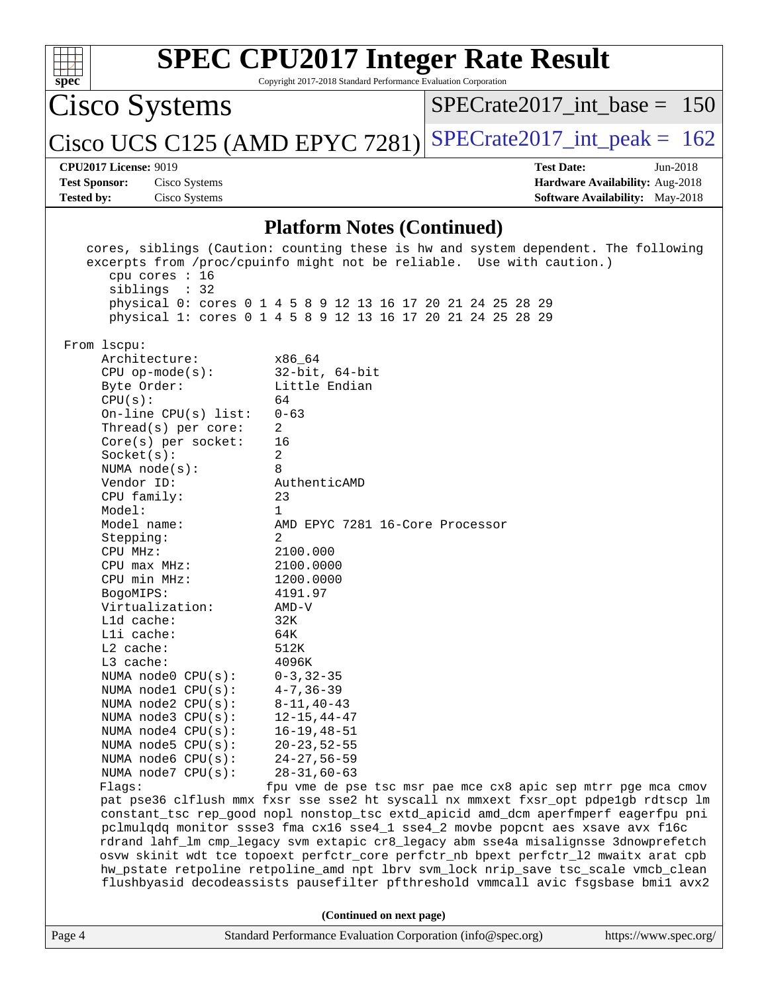| <b>SPEC CPU2017 Integer Rate Result</b><br>$spec^*$<br>Copyright 2017-2018 Standard Performance Evaluation Corporation |                                 |                                                                                                                                                             |                                 |            |                                        |  |
|------------------------------------------------------------------------------------------------------------------------|---------------------------------|-------------------------------------------------------------------------------------------------------------------------------------------------------------|---------------------------------|------------|----------------------------------------|--|
| Cisco Systems                                                                                                          |                                 |                                                                                                                                                             | $SPECrate2017$ int base = 150   |            |                                        |  |
|                                                                                                                        |                                 | Cisco UCS C125 (AMD EPYC 7281)                                                                                                                              | $SPECrate2017\_int\_peak = 162$ |            |                                        |  |
| <b>CPU2017 License: 9019</b>                                                                                           |                                 |                                                                                                                                                             | <b>Test Date:</b>               | $Jun-2018$ |                                        |  |
| <b>Test Sponsor:</b>                                                                                                   | Cisco Systems                   |                                                                                                                                                             |                                 |            | Hardware Availability: Aug-2018        |  |
| <b>Tested by:</b>                                                                                                      | Cisco Systems                   |                                                                                                                                                             |                                 |            | <b>Software Availability:</b> May-2018 |  |
|                                                                                                                        |                                 | <b>Platform Notes (Continued)</b>                                                                                                                           |                                 |            |                                        |  |
|                                                                                                                        | cpu cores $: 16$<br>sibling: 32 | cores, siblings (Caution: counting these is hw and system dependent. The following<br>excerpts from /proc/cpuinfo might not be reliable. Use with caution.) |                                 |            |                                        |  |
|                                                                                                                        |                                 | physical 0: cores 0 1 4 5 8 9 12 13 16 17 20 21 24 25 28 29                                                                                                 |                                 |            |                                        |  |

physical 1: cores 0 1 4 5 8 9 12 13 16 17 20 21 24 25 28 29

| From 1scpu:              |                                                                                      |  |  |
|--------------------------|--------------------------------------------------------------------------------------|--|--|
| Architecture:            | x86 64                                                                               |  |  |
| $CPU$ op-mode( $s$ ):    | $32$ -bit, $64$ -bit                                                                 |  |  |
| Byte Order:              | Little Endian                                                                        |  |  |
| CPU(s):                  | 64                                                                                   |  |  |
| On-line CPU(s) list:     | $0 - 63$                                                                             |  |  |
| Thread( $s$ ) per core:  | 2                                                                                    |  |  |
| $Core(s)$ per socket:    | 16                                                                                   |  |  |
| Socket(s):               | $\overline{2}$                                                                       |  |  |
| NUMA $node(s)$ :         | 8                                                                                    |  |  |
| Vendor ID:               | AuthenticAMD                                                                         |  |  |
| CPU family:              | 23                                                                                   |  |  |
| Model:                   | $\mathbf{1}$                                                                         |  |  |
| Model name:              | AMD EPYC 7281 16-Core Processor                                                      |  |  |
| Stepping:                | $\overline{2}$                                                                       |  |  |
| CPU MHz:                 | 2100.000                                                                             |  |  |
| $CPU$ max $MHz$ :        | 2100.0000                                                                            |  |  |
| CPU min MHz:             | 1200.0000                                                                            |  |  |
| BogoMIPS:                | 4191.97                                                                              |  |  |
| Virtualization:          | $AMD-V$                                                                              |  |  |
| L1d cache:               | 32K                                                                                  |  |  |
| Lli cache:               | 64K                                                                                  |  |  |
| $L2$ cache:              | 512K                                                                                 |  |  |
| L3 cache:                | 4096K                                                                                |  |  |
| NUMA $node0$ $CPU(s)$ :  | $0 - 3, 32 - 35$                                                                     |  |  |
| NUMA nodel CPU(s):       | $4 - 7, 36 - 39$                                                                     |  |  |
| NUMA $node2$ $CPU(s)$ :  | $8 - 11, 40 - 43$                                                                    |  |  |
| NUMA node3 CPU(s):       | $12 - 15, 44 - 47$                                                                   |  |  |
| NUMA $node4$ CPU $(s)$ : | $16 - 19, 48 - 51$                                                                   |  |  |
| NUMA $node5$ $CPU(s):$   | $20 - 23, 52 - 55$                                                                   |  |  |
| NUMA $node6$ CPU $(s)$ : | $24 - 27, 56 - 59$                                                                   |  |  |
| NUMA node7 CPU(s):       | $28 - 31,60 - 63$                                                                    |  |  |
| Flags:                   | fpu vme de pse tsc msr pae mce cx8 apic sep mtrr pge mca cmov                        |  |  |
|                          | pat pse36 clflush mmx fxsr sse sse2 ht syscall nx mmxext fxsr_opt pdpelgb rdtscp lm  |  |  |
|                          | constant_tsc rep_good nopl nonstop_tsc extd_apicid amd_dcm aperfmperf eagerfpu pni   |  |  |
|                          | pclmulqdq monitor ssse3 fma cx16 sse4_1 sse4_2 movbe popcnt aes xsave avx f16c       |  |  |
|                          | rdrand lahf_lm cmp_legacy svm extapic cr8_legacy abm sse4a misalignsse 3dnowprefetch |  |  |
|                          | osvw skinit wdt tce topoext perfctr_core perfctr_nb bpext perfctr_12 mwaitx arat cpb |  |  |
|                          | hw_pstate retpoline retpoline_amd npt lbrv svm_lock nrip_save tsc_scale vmcb_clean   |  |  |
|                          | flushbyasid decodeassists pausefilter pfthreshold vmmcall avic fsgsbase bmil avx2    |  |  |
|                          |                                                                                      |  |  |
| (Continued on next page) |                                                                                      |  |  |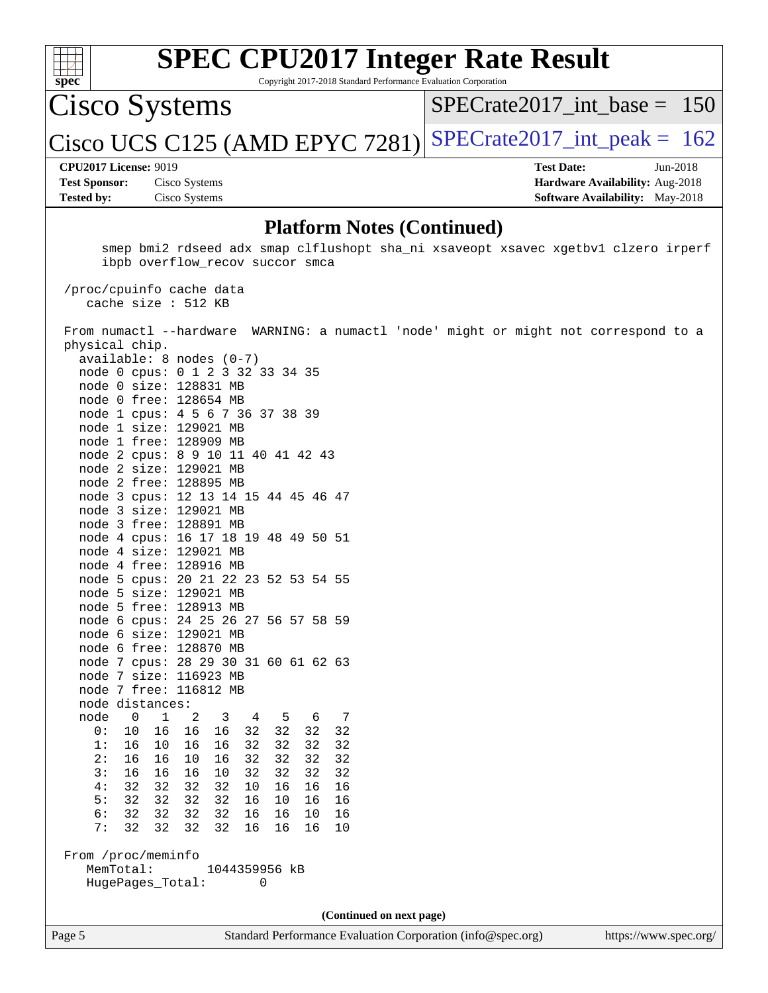

# **[SPEC CPU2017 Integer Rate Result](http://www.spec.org/auto/cpu2017/Docs/result-fields.html#SPECCPU2017IntegerRateResult)**

Copyright 2017-2018 Standard Performance Evaluation Corporation

Cisco Systems

[SPECrate2017\\_int\\_base =](http://www.spec.org/auto/cpu2017/Docs/result-fields.html#SPECrate2017intbase) 150

Cisco UCS C125 (AMD EPYC 7281) [SPECrate2017\\_int\\_peak =](http://www.spec.org/auto/cpu2017/Docs/result-fields.html#SPECrate2017intpeak) 162

#### **[CPU2017 License:](http://www.spec.org/auto/cpu2017/Docs/result-fields.html#CPU2017License)** 9019 **[Test Date:](http://www.spec.org/auto/cpu2017/Docs/result-fields.html#TestDate)** Jun-2018

**[Test Sponsor:](http://www.spec.org/auto/cpu2017/Docs/result-fields.html#TestSponsor)** Cisco Systems **[Hardware Availability:](http://www.spec.org/auto/cpu2017/Docs/result-fields.html#HardwareAvailability)** Aug-2018 **[Tested by:](http://www.spec.org/auto/cpu2017/Docs/result-fields.html#Testedby)** Cisco Systems **[Software Availability:](http://www.spec.org/auto/cpu2017/Docs/result-fields.html#SoftwareAvailability)** May-2018

#### **[Platform Notes \(Continued\)](http://www.spec.org/auto/cpu2017/Docs/result-fields.html#PlatformNotes)**

 smep bmi2 rdseed adx smap clflushopt sha\_ni xsaveopt xsavec xgetbv1 clzero irperf ibpb overflow\_recov succor smca /proc/cpuinfo cache data cache size : 512 KB From numactl --hardware WARNING: a numactl 'node' might or might not correspond to a physical chip. available: 8 nodes (0-7) node 0 cpus: 0 1 2 3 32 33 34 35 node 0 size: 128831 MB node 0 free: 128654 MB node 1 cpus: 4 5 6 7 36 37 38 39 node 1 size: 129021 MB node 1 free: 128909 MB node 2 cpus: 8 9 10 11 40 41 42 43 node 2 size: 129021 MB node 2 free: 128895 MB node 3 cpus: 12 13 14 15 44 45 46 47 node 3 size: 129021 MB node 3 free: 128891 MB node 4 cpus: 16 17 18 19 48 49 50 51 node 4 size: 129021 MB node 4 free: 128916 MB node 5 cpus: 20 21 22 23 52 53 54 55 node 5 size: 129021 MB node 5 free: 128913 MB node 6 cpus: 24 25 26 27 56 57 58 59 node 6 size: 129021 MB node 6 free: 128870 MB node 7 cpus: 28 29 30 31 60 61 62 63 node 7 size: 116923 MB node 7 free: 116812 MB node distances: node 0 1 2 3 4 5 6 7 0: 10 16 16 16 32 32 32 32 1: 16 10 16 16 32 32 32 32 2: 16 16 10 16 32 32 32 32 3: 16 16 16 10 32 32 32 32 4: 32 32 32 32 10 16 16 16 5: 32 32 32 32 16 10 16 16 6: 32 32 32 32 16 16 10 16 7: 32 32 32 32 16 16 16 10 From /proc/meminfo MemTotal: 1044359956 kB HugePages\_Total: 0 **(Continued on next page)**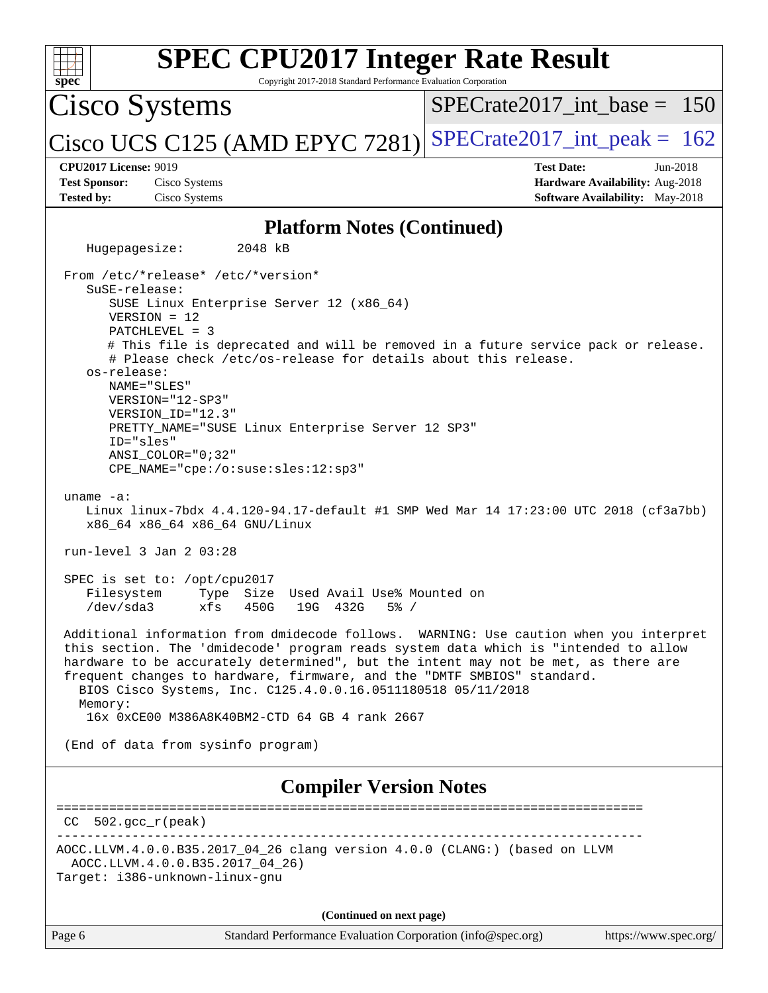| spec                                                                                                                                                                                                                                                                                                                                    | <b>SPEC CPU2017 Integer Rate Result</b><br>Copyright 2017-2018 Standard Performance Evaluation Corporation                                                                                                                                                                                                                                     |  |  |
|-----------------------------------------------------------------------------------------------------------------------------------------------------------------------------------------------------------------------------------------------------------------------------------------------------------------------------------------|------------------------------------------------------------------------------------------------------------------------------------------------------------------------------------------------------------------------------------------------------------------------------------------------------------------------------------------------|--|--|
| Cisco Systems                                                                                                                                                                                                                                                                                                                           | $SPECrate2017$ int base = 150                                                                                                                                                                                                                                                                                                                  |  |  |
| $\left  \right $ Cisco UCS C125 (AMD EPYC 7281) $\left  \right $                                                                                                                                                                                                                                                                        | $SPECrate2017\_int\_peak = 162$                                                                                                                                                                                                                                                                                                                |  |  |
| <b>CPU2017 License: 9019</b><br><b>Test Sponsor:</b><br>Cisco Systems<br><b>Tested by:</b><br>Cisco Systems                                                                                                                                                                                                                             | <b>Test Date:</b><br>Jun-2018<br>Hardware Availability: Aug-2018<br>Software Availability: May-2018                                                                                                                                                                                                                                            |  |  |
|                                                                                                                                                                                                                                                                                                                                         | <b>Platform Notes (Continued)</b>                                                                                                                                                                                                                                                                                                              |  |  |
| Hugepagesize:<br>2048 kB                                                                                                                                                                                                                                                                                                                |                                                                                                                                                                                                                                                                                                                                                |  |  |
| From /etc/*release* /etc/*version*<br>SuSE-release:<br>SUSE Linux Enterprise Server 12 (x86_64)<br>$VERSION = 12$<br>PATCHLEVEL = 3<br>os-release:<br>NAME="SLES"<br>VERSION="12-SP3"<br>VERSION_ID="12.3"<br>PRETTY_NAME="SUSE Linux Enterprise Server 12 SP3"<br>ID="sles"<br>ANSI COLOR="0;32"<br>CPE_NAME="cpe:/o:suse:sles:12:sp3" | # This file is deprecated and will be removed in a future service pack or release.<br># Please check /etc/os-release for details about this release.                                                                                                                                                                                           |  |  |
| uname $-a$ :<br>x86_64 x86_64 x86_64 GNU/Linux                                                                                                                                                                                                                                                                                          | Linux linux-7bdx 4.4.120-94.17-default #1 SMP Wed Mar 14 17:23:00 UTC 2018 (cf3a7bb)                                                                                                                                                                                                                                                           |  |  |
| run-level $3$ Jan $2$ 03:28                                                                                                                                                                                                                                                                                                             |                                                                                                                                                                                                                                                                                                                                                |  |  |
| SPEC is set to: /opt/cpu2017<br>Filesystem<br>/dev/sda3<br>450G<br>xts                                                                                                                                                                                                                                                                  | Type Size Used Avail Use% Mounted on<br>19G 432G<br>$5\%$ /                                                                                                                                                                                                                                                                                    |  |  |
| BIOS Cisco Systems, Inc. C125.4.0.0.16.0511180518 05/11/2018<br>Memory:                                                                                                                                                                                                                                                                 | Additional information from dmidecode follows. WARNING: Use caution when you interpret<br>this section. The 'dmidecode' program reads system data which is "intended to allow<br>hardware to be accurately determined", but the intent may not be met, as there are<br>frequent changes to hardware, firmware, and the "DMTF SMBIOS" standard. |  |  |
| 16x 0xCE00 M386A8K40BM2-CTD 64 GB 4 rank 2667                                                                                                                                                                                                                                                                                           |                                                                                                                                                                                                                                                                                                                                                |  |  |
| (End of data from sysinfo program)                                                                                                                                                                                                                                                                                                      |                                                                                                                                                                                                                                                                                                                                                |  |  |
| <b>Compiler Version Notes</b>                                                                                                                                                                                                                                                                                                           |                                                                                                                                                                                                                                                                                                                                                |  |  |
| $CC$ 502. $qcc$ $r$ ( $peak$ )                                                                                                                                                                                                                                                                                                          |                                                                                                                                                                                                                                                                                                                                                |  |  |
| AOCC.LLVM.4.0.0.B35.2017_04_26)<br>Target: i386-unknown-linux-gnu                                                                                                                                                                                                                                                                       | AOCC.LLVM.4.0.0.B35.2017_04_26 clang version 4.0.0 (CLANG:) (based on LLVM                                                                                                                                                                                                                                                                     |  |  |
|                                                                                                                                                                                                                                                                                                                                         | (Continued on next page)                                                                                                                                                                                                                                                                                                                       |  |  |
| Page 6                                                                                                                                                                                                                                                                                                                                  | https://www.spec.org/<br>Standard Performance Evaluation Corporation (info@spec.org)                                                                                                                                                                                                                                                           |  |  |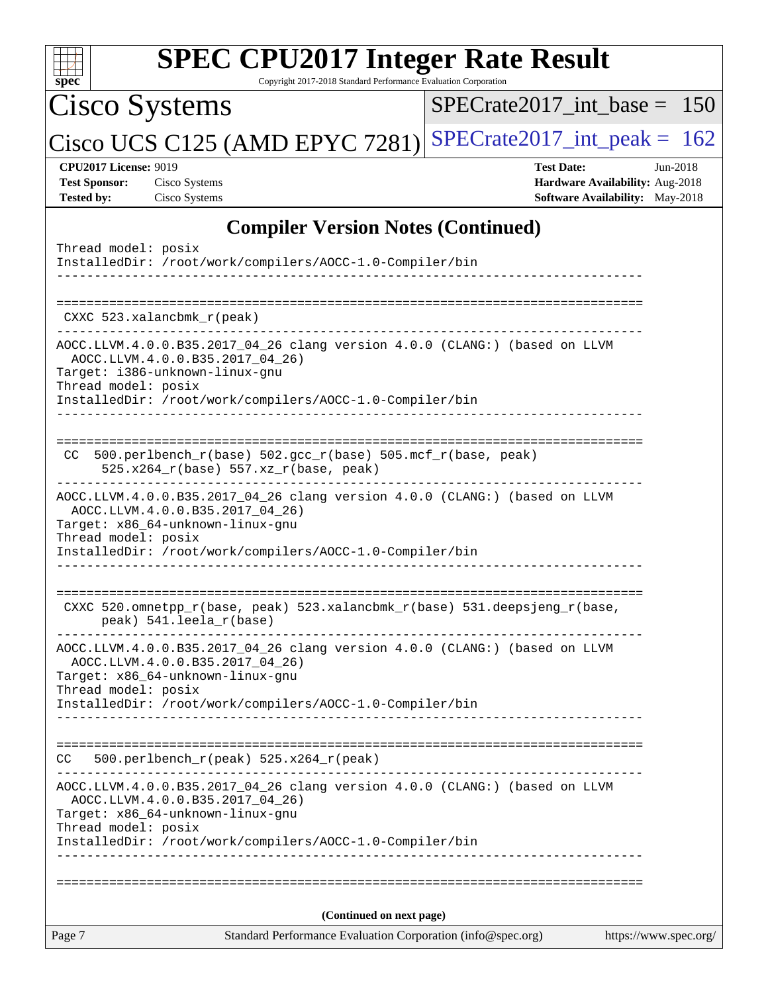| spec                                                                      | <b>SPEC CPU2017 Integer Rate Result</b><br>Copyright 2017-2018 Standard Performance Evaluation Corporation                                                                                                    |                                 |                                                                                  |
|---------------------------------------------------------------------------|---------------------------------------------------------------------------------------------------------------------------------------------------------------------------------------------------------------|---------------------------------|----------------------------------------------------------------------------------|
| Cisco Systems                                                             |                                                                                                                                                                                                               | $SPECrate2017$ int base = 150   |                                                                                  |
|                                                                           | Cisco UCS C125 (AMD EPYC 7281)                                                                                                                                                                                | $SPECrate2017\_int\_peak = 162$ |                                                                                  |
| <b>CPU2017 License: 9019</b><br><b>Test Sponsor:</b><br><b>Tested by:</b> | Cisco Systems<br>Cisco Systems                                                                                                                                                                                | <b>Test Date:</b>               | $Jun-2018$<br>Hardware Availability: Aug-2018<br>Software Availability: May-2018 |
|                                                                           | <b>Compiler Version Notes (Continued)</b>                                                                                                                                                                     |                                 |                                                                                  |
| Thread model: posix                                                       | InstalledDir: /root/work/compilers/AOCC-1.0-Compiler/bin                                                                                                                                                      |                                 |                                                                                  |
|                                                                           | CXXC $523.$ xalancbmk $r(\text{peak})$                                                                                                                                                                        |                                 |                                                                                  |
| Thread model: posix                                                       | AOCC.LLVM.4.0.0.B35.2017_04_26 clang version 4.0.0 (CLANG:) (based on LLVM<br>AOCC.LLVM.4.0.0.B35.2017_04_26)<br>Target: i386-unknown-linux-gnu<br>InstalledDir: /root/work/compilers/AOCC-1.0-Compiler/bin   |                                 |                                                                                  |
| <sub>CC</sub>                                                             | 500.perlbench_r(base) 502.gcc_r(base) 505.mcf_r(base, peak)<br>525.x264_r(base) 557.xz_r(base, peak)                                                                                                          |                                 |                                                                                  |
| Thread model: posix                                                       | AOCC.LLVM.4.0.0.B35.2017_04_26 clang version 4.0.0 (CLANG:) (based on LLVM<br>AOCC.LLVM.4.0.0.B35.2017_04_26)<br>Target: x86_64-unknown-linux-gnu<br>InstalledDir: /root/work/compilers/AOCC-1.0-Compiler/bin |                                 |                                                                                  |
|                                                                           | CXXC 520.omnetpp_r(base, peak) 523.xalancbmk_r(base) 531.deepsjeng_r(base,<br>peak) 541.leela_r(base)                                                                                                         |                                 |                                                                                  |
| Thread model: posix                                                       | AOCC.LLVM.4.0.0.B35.2017_04_26 clang version 4.0.0 (CLANG:) (based on LLVM<br>AOCC.LLVM.4.0.0.B35.2017_04_26)<br>Target: x86_64-unknown-linux-gnu<br>InstalledDir: /root/work/compilers/AOCC-1.0-Compiler/bin |                                 |                                                                                  |
| CC.                                                                       | 500.perlbench_r(peak) 525.x264_r(peak)                                                                                                                                                                        |                                 |                                                                                  |
| Thread model: posix                                                       | AOCC.LLVM.4.0.0.B35.2017_04_26 clang version 4.0.0 (CLANG:) (based on LLVM<br>AOCC.LLVM.4.0.0.B35.2017_04_26)<br>Target: x86_64-unknown-linux-gnu<br>InstalledDir: /root/work/compilers/AOCC-1.0-Compiler/bin | _________________________       |                                                                                  |
|                                                                           |                                                                                                                                                                                                               |                                 |                                                                                  |
| (Continued on next page)                                                  |                                                                                                                                                                                                               |                                 |                                                                                  |
| Page 7                                                                    | Standard Performance Evaluation Corporation (info@spec.org)                                                                                                                                                   |                                 | https://www.spec.org/                                                            |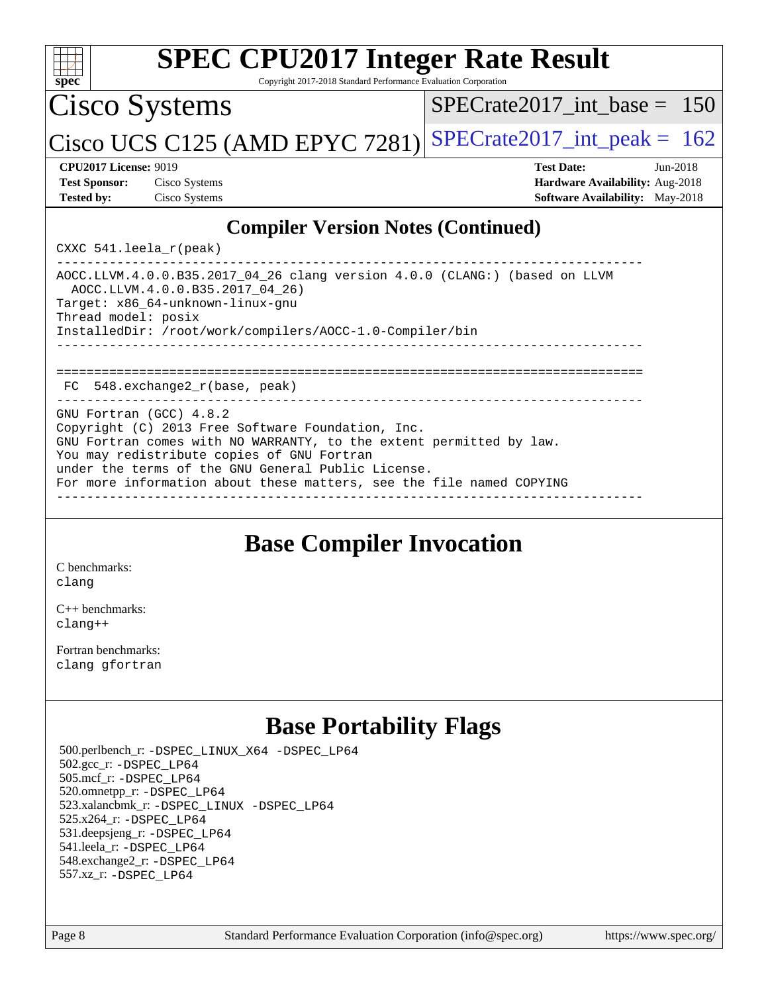| $spec^*$                                                                  | <b>SPEC CPU2017 Integer Rate Result</b><br>Copyright 2017-2018 Standard Performance Evaluation Corporation                                                                                                                                                                                           |                                                                                                              |
|---------------------------------------------------------------------------|------------------------------------------------------------------------------------------------------------------------------------------------------------------------------------------------------------------------------------------------------------------------------------------------------|--------------------------------------------------------------------------------------------------------------|
| Cisco Systems                                                             |                                                                                                                                                                                                                                                                                                      | SPECrate2017 int base = $150$                                                                                |
|                                                                           | Cisco UCS C125 (AMD EPYC 7281)                                                                                                                                                                                                                                                                       | $SPECTate2017\_int\_peak = 162$                                                                              |
| <b>CPU2017 License: 9019</b><br><b>Test Sponsor:</b><br><b>Tested by:</b> | Cisco Systems<br>Cisco Systems                                                                                                                                                                                                                                                                       | <b>Test Date:</b><br>$Jun-2018$<br><b>Hardware Availability: Aug-2018</b><br>Software Availability: May-2018 |
| CXXC 541.leela_r(peak)                                                    | <b>Compiler Version Notes (Continued)</b>                                                                                                                                                                                                                                                            |                                                                                                              |
| Thread model: posix                                                       | AOCC.LLVM.4.0.0.B35.2017_04_26 clang version 4.0.0 (CLANG:) (based on LLVM<br>AOCC.LLVM.4.0.0.B35.2017_04_26)<br>Target: x86_64-unknown-linux-gnu<br>InstalledDir: /root/work/compilers/AOCC-1.0-Compiler/bin                                                                                        |                                                                                                              |
|                                                                           | $FC$ 548. exchange $2r(base, peak)$                                                                                                                                                                                                                                                                  |                                                                                                              |
| GNU Fortran (GCC) 4.8.2                                                   | Copyright (C) 2013 Free Software Foundation, Inc.<br>GNU Fortran comes with NO WARRANTY, to the extent permitted by law.<br>You may redistribute copies of GNU Fortran<br>under the terms of the GNU General Public License.<br>For more information about these matters, see the file named COPYING |                                                                                                              |
|                                                                           |                                                                                                                                                                                                                                                                                                      |                                                                                                              |

### **[Base Compiler Invocation](http://www.spec.org/auto/cpu2017/Docs/result-fields.html#BaseCompilerInvocation)**

[C benchmarks](http://www.spec.org/auto/cpu2017/Docs/result-fields.html#Cbenchmarks): [clang](http://www.spec.org/cpu2017/results/res2018q4/cpu2017-20180918-08910.flags.html#user_CCbase_Fclang3)

[C++ benchmarks:](http://www.spec.org/auto/cpu2017/Docs/result-fields.html#CXXbenchmarks) [clang++](http://www.spec.org/cpu2017/results/res2018q4/cpu2017-20180918-08910.flags.html#user_CXXbase_Fclang3_57a48582e5be507d19b2527b3e7d4f85d9b8669ffc9a8a0dbb9bcf949a918a58bbab411e0c4d14a3922022a3e425a90db94042683824c1806feff4324ca1000d)

[Fortran benchmarks](http://www.spec.org/auto/cpu2017/Docs/result-fields.html#Fortranbenchmarks): [clang](http://www.spec.org/cpu2017/results/res2018q4/cpu2017-20180918-08910.flags.html#user_FCbase_Fclang3) [gfortran](http://www.spec.org/cpu2017/results/res2018q4/cpu2017-20180918-08910.flags.html#user_FCbase_Fgfortran_128c91a56d61ddb07404721e65b8f9498c31a443dacbd3b7f212891090eca86e2d099b520f75b99e9e8ac4fdec01f4d15f0b65e47123ec4c42b0759045731a1f)

### **[Base Portability Flags](http://www.spec.org/auto/cpu2017/Docs/result-fields.html#BasePortabilityFlags)**

 500.perlbench\_r: [-DSPEC\\_LINUX\\_X64](http://www.spec.org/cpu2017/results/res2018q4/cpu2017-20180918-08910.flags.html#b500.perlbench_r_basePORTABILITY_DSPEC_LINUX_X64) [-DSPEC\\_LP64](http://www.spec.org/cpu2017/results/res2018q4/cpu2017-20180918-08910.flags.html#b500.perlbench_r_baseEXTRA_PORTABILITY_DSPEC_LP64) 502.gcc\_r: [-DSPEC\\_LP64](http://www.spec.org/cpu2017/results/res2018q4/cpu2017-20180918-08910.flags.html#suite_baseEXTRA_PORTABILITY502_gcc_r_DSPEC_LP64) 505.mcf\_r: [-DSPEC\\_LP64](http://www.spec.org/cpu2017/results/res2018q4/cpu2017-20180918-08910.flags.html#suite_baseEXTRA_PORTABILITY505_mcf_r_DSPEC_LP64) 520.omnetpp\_r: [-DSPEC\\_LP64](http://www.spec.org/cpu2017/results/res2018q4/cpu2017-20180918-08910.flags.html#suite_baseEXTRA_PORTABILITY520_omnetpp_r_DSPEC_LP64) 523.xalancbmk\_r: [-DSPEC\\_LINUX](http://www.spec.org/cpu2017/results/res2018q4/cpu2017-20180918-08910.flags.html#b523.xalancbmk_r_basePORTABILITY_DSPEC_LINUX) [-DSPEC\\_LP64](http://www.spec.org/cpu2017/results/res2018q4/cpu2017-20180918-08910.flags.html#suite_baseEXTRA_PORTABILITY523_xalancbmk_r_DSPEC_LP64) 525.x264\_r: [-DSPEC\\_LP64](http://www.spec.org/cpu2017/results/res2018q4/cpu2017-20180918-08910.flags.html#suite_baseEXTRA_PORTABILITY525_x264_r_DSPEC_LP64) 531.deepsjeng\_r: [-DSPEC\\_LP64](http://www.spec.org/cpu2017/results/res2018q4/cpu2017-20180918-08910.flags.html#suite_baseEXTRA_PORTABILITY531_deepsjeng_r_DSPEC_LP64) 541.leela\_r: [-DSPEC\\_LP64](http://www.spec.org/cpu2017/results/res2018q4/cpu2017-20180918-08910.flags.html#suite_baseEXTRA_PORTABILITY541_leela_r_DSPEC_LP64) 548.exchange2\_r: [-DSPEC\\_LP64](http://www.spec.org/cpu2017/results/res2018q4/cpu2017-20180918-08910.flags.html#suite_baseEXTRA_PORTABILITY548_exchange2_r_DSPEC_LP64) 557.xz\_r: [-DSPEC\\_LP64](http://www.spec.org/cpu2017/results/res2018q4/cpu2017-20180918-08910.flags.html#suite_baseEXTRA_PORTABILITY557_xz_r_DSPEC_LP64)

Page 8 Standard Performance Evaluation Corporation [\(info@spec.org\)](mailto:info@spec.org) <https://www.spec.org/>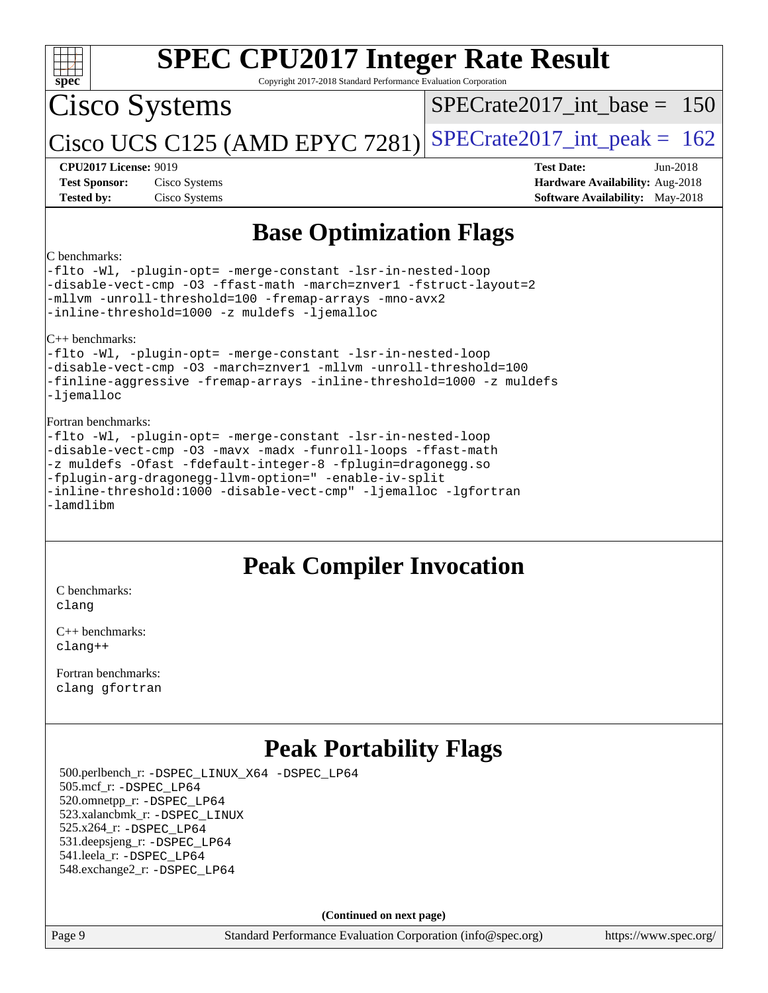| <b>SPEC CPU2017 Integer Rate Result</b><br>Spec<br>Copyright 2017-2018 Standard Performance Evaluation Corporation                                                                                                                                                                                                                                           |                                                                                                              |
|--------------------------------------------------------------------------------------------------------------------------------------------------------------------------------------------------------------------------------------------------------------------------------------------------------------------------------------------------------------|--------------------------------------------------------------------------------------------------------------|
| Cisco Systems                                                                                                                                                                                                                                                                                                                                                | $SPECrate2017$ int base =<br>150                                                                             |
| $\left  \right $ Cisco UCS C125 (AMD EPYC 7281)                                                                                                                                                                                                                                                                                                              | $SPECrate2017\_int\_peak = 162$                                                                              |
| <b>CPU2017 License: 9019</b><br><b>Test Sponsor:</b><br>Cisco Systems<br><b>Tested by:</b><br>Cisco Systems                                                                                                                                                                                                                                                  | <b>Test Date:</b><br>$Jun-2018$<br>Hardware Availability: Aug-2018<br><b>Software Availability:</b> May-2018 |
| <b>Base Optimization Flags</b>                                                                                                                                                                                                                                                                                                                               |                                                                                                              |
| IC benchmarks:<br>-flto -Wl, -plugin-opt= -merge-constant -lsr-in-nested-loop<br>-disable-vect-cmp -03 -ffast-math -march=znver1 -fstruct-layout=2<br>-mllvm -unroll-threshold=100 -fremap-arrays -mno-avx2<br>-inline-threshold=1000 -z muldefs -ljemalloc                                                                                                  |                                                                                                              |
| $ C_{++}\rangle$ benchmarks:<br>-flto -Wl, -plugin-opt= -merge-constant -lsr-in-nested-loop<br>-disable-vect-cmp -03 -march=znver1 -mllvm -unroll-threshold=100<br>-finline-aggressive -fremap-arrays -inline-threshold=1000 -z muldefs<br>-ljemalloc                                                                                                        |                                                                                                              |
| Fortran benchmarks:<br>-flto -Wl, -plugin-opt= -merge-constant -lsr-in-nested-loop<br>-disable-vect-cmp -03 -mavx -madx -funroll-loops -ffast-math<br>-z muldefs -Ofast -fdefault-integer-8 -fplugin=dragonegg.so<br>-fplugin-arg-dragonegg-llvm-option=" -enable-iv-split<br>-inline-threshold:1000 -disable-vect-cmp" -ljemalloc -lgfortran<br>$-lamdlibm$ |                                                                                                              |
| <b>Peak Compiler Invocation</b>                                                                                                                                                                                                                                                                                                                              |                                                                                                              |
| C benchmarks:<br>clang                                                                                                                                                                                                                                                                                                                                       |                                                                                                              |
| $C++$ benchmarks:<br>$clang++$                                                                                                                                                                                                                                                                                                                               |                                                                                                              |
| Fortran benchmarks:<br>clang gfortran                                                                                                                                                                                                                                                                                                                        |                                                                                                              |
|                                                                                                                                                                                                                                                                                                                                                              |                                                                                                              |

## **[Peak Portability Flags](http://www.spec.org/auto/cpu2017/Docs/result-fields.html#PeakPortabilityFlags)**

 500.perlbench\_r: [-DSPEC\\_LINUX\\_X64](http://www.spec.org/cpu2017/results/res2018q4/cpu2017-20180918-08910.flags.html#b500.perlbench_r_peakPORTABILITY_DSPEC_LINUX_X64) [-DSPEC\\_LP64](http://www.spec.org/cpu2017/results/res2018q4/cpu2017-20180918-08910.flags.html#b500.perlbench_r_peakEXTRA_PORTABILITY_DSPEC_LP64) 505.mcf\_r: [-DSPEC\\_LP64](http://www.spec.org/cpu2017/results/res2018q4/cpu2017-20180918-08910.flags.html#suite_peakEXTRA_PORTABILITY505_mcf_r_DSPEC_LP64) 520.omnetpp\_r: [-DSPEC\\_LP64](http://www.spec.org/cpu2017/results/res2018q4/cpu2017-20180918-08910.flags.html#suite_peakEXTRA_PORTABILITY520_omnetpp_r_DSPEC_LP64) 523.xalancbmk\_r: [-DSPEC\\_LINUX](http://www.spec.org/cpu2017/results/res2018q4/cpu2017-20180918-08910.flags.html#b523.xalancbmk_r_peakPORTABILITY_DSPEC_LINUX) 525.x264\_r: [-DSPEC\\_LP64](http://www.spec.org/cpu2017/results/res2018q4/cpu2017-20180918-08910.flags.html#suite_peakEXTRA_PORTABILITY525_x264_r_DSPEC_LP64) 531.deepsjeng\_r: [-DSPEC\\_LP64](http://www.spec.org/cpu2017/results/res2018q4/cpu2017-20180918-08910.flags.html#suite_peakEXTRA_PORTABILITY531_deepsjeng_r_DSPEC_LP64) 541.leela\_r: [-DSPEC\\_LP64](http://www.spec.org/cpu2017/results/res2018q4/cpu2017-20180918-08910.flags.html#suite_peakEXTRA_PORTABILITY541_leela_r_DSPEC_LP64) 548.exchange2\_r: [-DSPEC\\_LP64](http://www.spec.org/cpu2017/results/res2018q4/cpu2017-20180918-08910.flags.html#suite_peakEXTRA_PORTABILITY548_exchange2_r_DSPEC_LP64)

**(Continued on next page)**

Page 9 Standard Performance Evaluation Corporation [\(info@spec.org\)](mailto:info@spec.org) <https://www.spec.org/>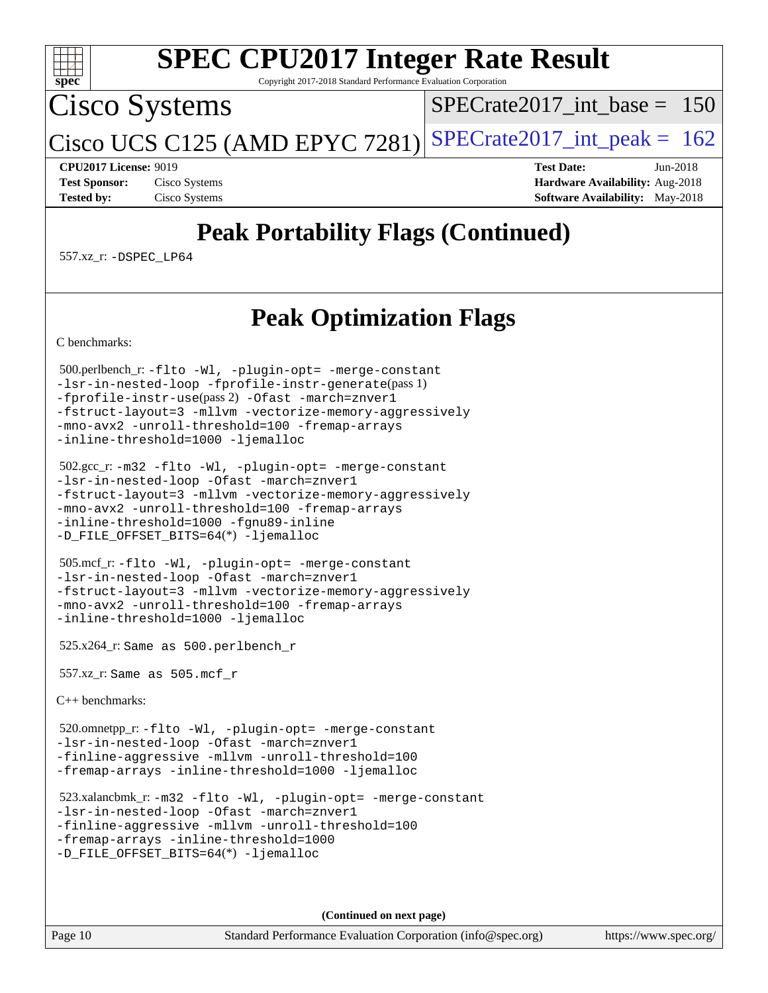

# **[SPEC CPU2017 Integer Rate Result](http://www.spec.org/auto/cpu2017/Docs/result-fields.html#SPECCPU2017IntegerRateResult)**

Copyright 2017-2018 Standard Performance Evaluation Corporation

Cisco Systems

[SPECrate2017\\_int\\_base =](http://www.spec.org/auto/cpu2017/Docs/result-fields.html#SPECrate2017intbase) 150

Cisco UCS C125 (AMD EPYC 7281) SPECrate  $2017$ \_int\_peak = 162

**[CPU2017 License:](http://www.spec.org/auto/cpu2017/Docs/result-fields.html#CPU2017License)** 9019 **[Test Date:](http://www.spec.org/auto/cpu2017/Docs/result-fields.html#TestDate)** Jun-2018

**[Test Sponsor:](http://www.spec.org/auto/cpu2017/Docs/result-fields.html#TestSponsor)** Cisco Systems **[Hardware Availability:](http://www.spec.org/auto/cpu2017/Docs/result-fields.html#HardwareAvailability)** Aug-2018 **[Tested by:](http://www.spec.org/auto/cpu2017/Docs/result-fields.html#Testedby)** Cisco Systems **[Software Availability:](http://www.spec.org/auto/cpu2017/Docs/result-fields.html#SoftwareAvailability)** May-2018

## **[Peak Portability Flags \(Continued\)](http://www.spec.org/auto/cpu2017/Docs/result-fields.html#PeakPortabilityFlags)**

557.xz\_r: [-DSPEC\\_LP64](http://www.spec.org/cpu2017/results/res2018q4/cpu2017-20180918-08910.flags.html#suite_peakEXTRA_PORTABILITY557_xz_r_DSPEC_LP64)

## **[Peak Optimization Flags](http://www.spec.org/auto/cpu2017/Docs/result-fields.html#PeakOptimizationFlags)**

[C benchmarks](http://www.spec.org/auto/cpu2017/Docs/result-fields.html#Cbenchmarks):

 500.perlbench\_r: [-flto](http://www.spec.org/cpu2017/results/res2018q4/cpu2017-20180918-08910.flags.html#user_peakCOPTIMIZEEXTRA_LDFLAGS500_perlbench_r_F-flto) [-Wl,](http://www.spec.org/cpu2017/results/res2018q4/cpu2017-20180918-08910.flags.html#user_peakEXTRA_LDFLAGS500_perlbench_r_F-Wl_5f669859b7c1a0295edc4f5fd536c381023f180a987810cb5cfa1d9467a27ac14b13770b9732d7618b24fc778f3dfdf68b65521d505fc870281e0142944925a0) [-plugin-opt=](http://www.spec.org/cpu2017/results/res2018q4/cpu2017-20180918-08910.flags.html#user_peakEXTRA_LDFLAGS500_perlbench_r_F-plugin-opt_772899571bb6157e4b8feeb3276e6c06dec41c1bbb0aa637c8700742a4baaf7e7b56061e32ae2365a76a44d8c448177ca3ee066cdf7537598ff772fc461942c2) [-merge-constant](http://www.spec.org/cpu2017/results/res2018q4/cpu2017-20180918-08910.flags.html#user_peakEXTRA_LDFLAGS500_perlbench_r_F-merge-constant_bdb3ec75d21d5cf0ab1961ebe7105d0ea3b0c6d89a312cf7efc1d107e6c56c92c36b5d564d0702d1e2526f6b92f188b4413eb5a54b1f9e4a41f5a9bfc0233b92) [-lsr-in-nested-loop](http://www.spec.org/cpu2017/results/res2018q4/cpu2017-20180918-08910.flags.html#user_peakEXTRA_LDFLAGS500_perlbench_r_F-lsr-in-nested-loop) [-fprofile-instr-generate](http://www.spec.org/cpu2017/results/res2018q4/cpu2017-20180918-08910.flags.html#user_peakPASS1_CFLAGSPASS1_LDFLAGS500_perlbench_r_F-fprofile-instr-generate)(pass 1) [-fprofile-instr-use](http://www.spec.org/cpu2017/results/res2018q4/cpu2017-20180918-08910.flags.html#user_peakPASS2_CFLAGSPASS2_LDFLAGS500_perlbench_r_F-fprofile-instr-use)(pass 2) [-Ofast](http://www.spec.org/cpu2017/results/res2018q4/cpu2017-20180918-08910.flags.html#user_peakCOPTIMIZE500_perlbench_r_F-aocc-Ofast) [-march=znver1](http://www.spec.org/cpu2017/results/res2018q4/cpu2017-20180918-08910.flags.html#user_peakCOPTIMIZE500_perlbench_r_F-march) [-fstruct-layout=3](http://www.spec.org/cpu2017/results/res2018q4/cpu2017-20180918-08910.flags.html#user_peakCOPTIMIZE500_perlbench_r_F-fstruct-layout) [-mllvm](http://www.spec.org/cpu2017/results/res2018q4/cpu2017-20180918-08910.flags.html#user_peakCOPTIMIZE500_perlbench_r_F-mllvm_76e3f86ef8d8cc4dfa84cec42d531db351fee284f72cd5d644b5bdbef9c2604296512be6a431d9e19d0523544399ea9dd745afc2fff755a0705d428460dc659e) [-vectorize-memory-aggressively](http://www.spec.org/cpu2017/results/res2018q4/cpu2017-20180918-08910.flags.html#user_peakCOPTIMIZE500_perlbench_r_F-vectorize-memory-aggressively) [-mno-avx2](http://www.spec.org/cpu2017/results/res2018q4/cpu2017-20180918-08910.flags.html#user_peakCOPTIMIZE500_perlbench_r_F-mno-avx2) [-unroll-threshold=100](http://www.spec.org/cpu2017/results/res2018q4/cpu2017-20180918-08910.flags.html#user_peakCOPTIMIZE500_perlbench_r_F-unroll-threshold) [-fremap-arrays](http://www.spec.org/cpu2017/results/res2018q4/cpu2017-20180918-08910.flags.html#user_peakCOPTIMIZE500_perlbench_r_F-fremap-arrays) [-inline-threshold=1000](http://www.spec.org/cpu2017/results/res2018q4/cpu2017-20180918-08910.flags.html#user_peakCOPTIMIZE500_perlbench_r_F-inline-threshold_1daf3e0321a7a0c1ea19068c818f3f119b1e5dfc986cc791557791f4b93536c1546ba0c8585f62303269f504aa232e0ca278e8489928152e32e0752215741730) [-ljemalloc](http://www.spec.org/cpu2017/results/res2018q4/cpu2017-20180918-08910.flags.html#user_peakEXTRA_LIBS500_perlbench_r_F-ljemalloc)

```
 502.gcc_r: -m32 -flto -Wl, -plugin-opt= -merge-constant
-lsr-in-nested-loop -Ofast -march=znver1
-fstruct-layout=3 -mllvm -vectorize-memory-aggressively
-mno-avx2 -unroll-threshold=100 -fremap-arrays
-inline-threshold=1000 -fgnu89-inline
-D_FILE_OFFSET_BITS=64(*) -ljemalloc
```

```
 505.mcf_r: -flto -Wl, -plugin-opt= -merge-constant
-lsr-in-nested-loop -Ofast -march=znver1
-fstruct-layout=3 -mllvm -vectorize-memory-aggressively
-mno-avx2 -unroll-threshold=100 -fremap-arrays
-inline-threshold=1000 -ljemalloc
```
525.x264\_r: Same as 500.perlbench\_r

557.xz\_r: Same as 505.mcf\_r

[C++ benchmarks:](http://www.spec.org/auto/cpu2017/Docs/result-fields.html#CXXbenchmarks)

 520.omnetpp\_r: [-flto](http://www.spec.org/cpu2017/results/res2018q4/cpu2017-20180918-08910.flags.html#user_peakCXXOPTIMIZEEXTRA_LDFLAGS520_omnetpp_r_F-flto) [-Wl,](http://www.spec.org/cpu2017/results/res2018q4/cpu2017-20180918-08910.flags.html#user_peakEXTRA_LDFLAGS520_omnetpp_r_F-Wl_5f669859b7c1a0295edc4f5fd536c381023f180a987810cb5cfa1d9467a27ac14b13770b9732d7618b24fc778f3dfdf68b65521d505fc870281e0142944925a0) [-plugin-opt=](http://www.spec.org/cpu2017/results/res2018q4/cpu2017-20180918-08910.flags.html#user_peakEXTRA_LDFLAGS520_omnetpp_r_F-plugin-opt_772899571bb6157e4b8feeb3276e6c06dec41c1bbb0aa637c8700742a4baaf7e7b56061e32ae2365a76a44d8c448177ca3ee066cdf7537598ff772fc461942c2) [-merge-constant](http://www.spec.org/cpu2017/results/res2018q4/cpu2017-20180918-08910.flags.html#user_peakEXTRA_LDFLAGS520_omnetpp_r_F-merge-constant_bdb3ec75d21d5cf0ab1961ebe7105d0ea3b0c6d89a312cf7efc1d107e6c56c92c36b5d564d0702d1e2526f6b92f188b4413eb5a54b1f9e4a41f5a9bfc0233b92) [-lsr-in-nested-loop](http://www.spec.org/cpu2017/results/res2018q4/cpu2017-20180918-08910.flags.html#user_peakEXTRA_LDFLAGS520_omnetpp_r_F-lsr-in-nested-loop) [-Ofast](http://www.spec.org/cpu2017/results/res2018q4/cpu2017-20180918-08910.flags.html#user_peakCXXOPTIMIZE520_omnetpp_r_F-aocc-Ofast) [-march=znver1](http://www.spec.org/cpu2017/results/res2018q4/cpu2017-20180918-08910.flags.html#user_peakCXXOPTIMIZE520_omnetpp_r_F-march) [-finline-aggressive](http://www.spec.org/cpu2017/results/res2018q4/cpu2017-20180918-08910.flags.html#user_peakCXXOPTIMIZE520_omnetpp_r_F-finline-aggressive) [-mllvm](http://www.spec.org/cpu2017/results/res2018q4/cpu2017-20180918-08910.flags.html#user_peakCXXOPTIMIZE520_omnetpp_r_F-mllvm_76e3f86ef8d8cc4dfa84cec42d531db351fee284f72cd5d644b5bdbef9c2604296512be6a431d9e19d0523544399ea9dd745afc2fff755a0705d428460dc659e) [-unroll-threshold=100](http://www.spec.org/cpu2017/results/res2018q4/cpu2017-20180918-08910.flags.html#user_peakCXXOPTIMIZE520_omnetpp_r_F-unroll-threshold) [-fremap-arrays](http://www.spec.org/cpu2017/results/res2018q4/cpu2017-20180918-08910.flags.html#user_peakCXXOPTIMIZE520_omnetpp_r_F-fremap-arrays) [-inline-threshold=1000](http://www.spec.org/cpu2017/results/res2018q4/cpu2017-20180918-08910.flags.html#user_peakCXXOPTIMIZE520_omnetpp_r_F-inline-threshold_1daf3e0321a7a0c1ea19068c818f3f119b1e5dfc986cc791557791f4b93536c1546ba0c8585f62303269f504aa232e0ca278e8489928152e32e0752215741730) [-ljemalloc](http://www.spec.org/cpu2017/results/res2018q4/cpu2017-20180918-08910.flags.html#user_peakEXTRA_LIBS520_omnetpp_r_F-ljemalloc)

 523.xalancbmk\_r: [-m32](http://www.spec.org/cpu2017/results/res2018q4/cpu2017-20180918-08910.flags.html#user_peakCXXLD523_xalancbmk_r_F-m32) [-flto](http://www.spec.org/cpu2017/results/res2018q4/cpu2017-20180918-08910.flags.html#user_peakCXXOPTIMIZEEXTRA_LDFLAGS523_xalancbmk_r_F-flto) [-Wl,](http://www.spec.org/cpu2017/results/res2018q4/cpu2017-20180918-08910.flags.html#user_peakEXTRA_LDFLAGS523_xalancbmk_r_F-Wl_5f669859b7c1a0295edc4f5fd536c381023f180a987810cb5cfa1d9467a27ac14b13770b9732d7618b24fc778f3dfdf68b65521d505fc870281e0142944925a0) [-plugin-opt=](http://www.spec.org/cpu2017/results/res2018q4/cpu2017-20180918-08910.flags.html#user_peakEXTRA_LDFLAGS523_xalancbmk_r_F-plugin-opt_772899571bb6157e4b8feeb3276e6c06dec41c1bbb0aa637c8700742a4baaf7e7b56061e32ae2365a76a44d8c448177ca3ee066cdf7537598ff772fc461942c2) [-merge-constant](http://www.spec.org/cpu2017/results/res2018q4/cpu2017-20180918-08910.flags.html#user_peakEXTRA_LDFLAGS523_xalancbmk_r_F-merge-constant_bdb3ec75d21d5cf0ab1961ebe7105d0ea3b0c6d89a312cf7efc1d107e6c56c92c36b5d564d0702d1e2526f6b92f188b4413eb5a54b1f9e4a41f5a9bfc0233b92) [-lsr-in-nested-loop](http://www.spec.org/cpu2017/results/res2018q4/cpu2017-20180918-08910.flags.html#user_peakEXTRA_LDFLAGS523_xalancbmk_r_F-lsr-in-nested-loop) [-Ofast](http://www.spec.org/cpu2017/results/res2018q4/cpu2017-20180918-08910.flags.html#user_peakCXXOPTIMIZE523_xalancbmk_r_F-aocc-Ofast) [-march=znver1](http://www.spec.org/cpu2017/results/res2018q4/cpu2017-20180918-08910.flags.html#user_peakCXXOPTIMIZE523_xalancbmk_r_F-march) [-finline-aggressive](http://www.spec.org/cpu2017/results/res2018q4/cpu2017-20180918-08910.flags.html#user_peakCXXOPTIMIZE523_xalancbmk_r_F-finline-aggressive) [-mllvm](http://www.spec.org/cpu2017/results/res2018q4/cpu2017-20180918-08910.flags.html#user_peakCXXOPTIMIZE523_xalancbmk_r_F-mllvm_76e3f86ef8d8cc4dfa84cec42d531db351fee284f72cd5d644b5bdbef9c2604296512be6a431d9e19d0523544399ea9dd745afc2fff755a0705d428460dc659e) [-unroll-threshold=100](http://www.spec.org/cpu2017/results/res2018q4/cpu2017-20180918-08910.flags.html#user_peakCXXOPTIMIZE523_xalancbmk_r_F-unroll-threshold) [-fremap-arrays](http://www.spec.org/cpu2017/results/res2018q4/cpu2017-20180918-08910.flags.html#user_peakCXXOPTIMIZE523_xalancbmk_r_F-fremap-arrays) [-inline-threshold=1000](http://www.spec.org/cpu2017/results/res2018q4/cpu2017-20180918-08910.flags.html#user_peakCXXOPTIMIZE523_xalancbmk_r_F-inline-threshold_1daf3e0321a7a0c1ea19068c818f3f119b1e5dfc986cc791557791f4b93536c1546ba0c8585f62303269f504aa232e0ca278e8489928152e32e0752215741730) [-D\\_FILE\\_OFFSET\\_BITS=64](http://www.spec.org/cpu2017/results/res2018q4/cpu2017-20180918-08910.flags.html#user_peakEXTRA_PORTABILITY523_xalancbmk_r_F-D_FILE_OFFSET_BITS_5ae949a99b284ddf4e95728d47cb0843d81b2eb0e18bdfe74bbf0f61d0b064f4bda2f10ea5eb90e1dcab0e84dbc592acfc5018bc955c18609f94ddb8d550002c)(\*) [-ljemalloc](http://www.spec.org/cpu2017/results/res2018q4/cpu2017-20180918-08910.flags.html#user_peakEXTRA_LIBS523_xalancbmk_r_F-ljemalloc)

**(Continued on next page)**